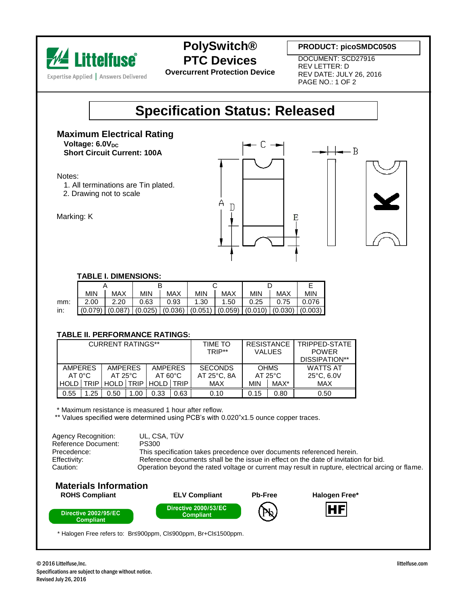

**PolySwitch® PTC Devices**

**PRODUCT: picoSMDC050S**

**Overcurrent Protection Device**

DOCUMENT: SCD27916 REV LETTER: D REV DATE: JULY 26, 2016 PAGE NO.: 1 OF 2

## **Specification Status: Released**

**Maximum Electrical Rating Voltage: 6.0V**<sub>DC</sub>

**Short Circuit Current: 100A**

Notes:

Marking: K

- 1. All terminations are Tin plated.
- 2. Drawing not to scale





### **TABLE I. DIMENSIONS:**

|     | <b>MIN</b> | <b>MAX</b> | <b>MIN</b> | <b>MAX</b> | <b>MIN</b>          | <b>MAX</b> | <b>MIN</b> | MAX                           | <b>MIN</b> |  |  |  |
|-----|------------|------------|------------|------------|---------------------|------------|------------|-------------------------------|------------|--|--|--|
| mm: | 2.00       | 2.20       | 0.63       | 0.93       | 1.30                | 1.50       | 0.25       | 0.75                          | 0.076      |  |  |  |
| in: | (0.079)    | (0.087)    | (0.025)    | (0.036)    | $(0.051)$ $(0.059)$ |            |            | $(0.010)$ $(0.030)$ $(0.003)$ |            |  |  |  |

#### **TABLE II. PERFORMANCE RATINGS:**

| <b>CURRENT RATINGS**</b> |     |                  |     |                   |      | TIME TO<br>TRIP** | <b>RESISTANCE</b><br><b>VALUES</b> |      | TRIPPED-STATE<br><b>POWER</b><br>DISSIPATION** |  |
|--------------------------|-----|------------------|-----|-------------------|------|-------------------|------------------------------------|------|------------------------------------------------|--|
| AMPERES                  |     | <b>AMPERES</b>   |     | <b>AMPERES</b>    |      | <b>SECONDS</b>    | <b>OHMS</b>                        |      | <b>WATTS AT</b>                                |  |
| $AT 0^{\circ}C$          |     | $AT 25^{\circ}C$ |     | $AT 60^{\circ}$ C |      | AT 25°C, 8A       | $AT 25^{\circ}C$                   |      | $25^{\circ}$ C, 6.0V                           |  |
| HOLD TRIP                |     | HOLD TRIP        |     | HOLD <b>TRIP</b>  |      | <b>MAX</b>        | <b>MIN</b>                         | MAX* | <b>MAX</b>                                     |  |
| 0.55                     | .25 | 0.50             | .00 | 0.33              | 0.63 | 0.10              | 0.15                               | 0.80 | 0.50                                           |  |

\* Maximum resistance is measured 1 hour after reflow.

\*\* Values specified were determined using PCB's with 0.020"x1.5 ounce copper traces.

Agency Recognition: UL, CSA, TÜV Reference Document: PS300 Precedence: This specification takes precedence over documents referenced herein. Effectivity: Reference documents shall be the issue in effect on the date of invitation for bid. Caution: Operation beyond the rated voltage or current may result in rupture, electrical arcing or flame.

### **Materials Information**



\* Halogen Free refers to: Br≤900ppm, Cl≤900ppm, Br+Cl≤1500ppm.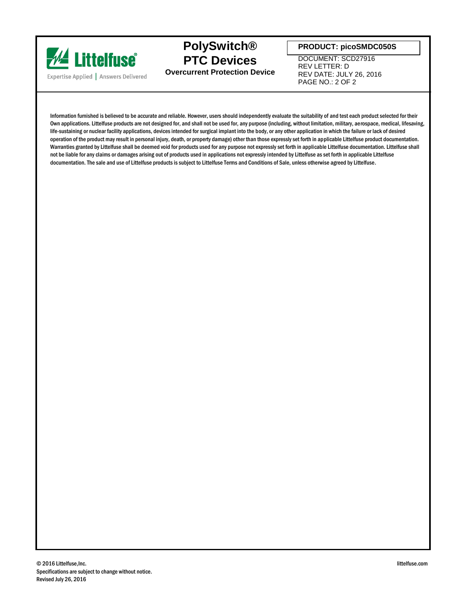

**PolySwitch® PTC Devices Overcurrent Protection Device**

**PRODUCT: picoSMDC050S**

DOCUMENT: SCD27916 REV LETTER: D REV DATE: JULY 26, 2016 PAGE NO.: 2 OF 2

Information furnished is believed to be accurate and reliable. However, users should independently evaluate the suitability of and test each product selected for their Own applications. Littelfuse products are not designed for, and shall not be used for, any purpose (including, without limitation, military, aerospace, medical, lifesaving, life-sustaining or nuclear facility applications, devices intended for surgical implant into the body, or any other application in which the failure or lack of desired operation of the product may result in personal injury, death, or property damage) other than those expressly set forth in applicable Littelfuse product documentation. Warranties granted by Littelfuse shall be deemed void for products used for any purpose not expressly set forth in applicable Littelfuse documentation. Littelfuse shall not be liable for any claims or damages arising out of products used in applications not expressly intended by Littelfuse as set forth in applicable Littelfuse documentation. The sale and use of Littelfuse products is subject to Littelfuse Terms and Conditions of Sale, unless otherwise agreed by Littelfuse.